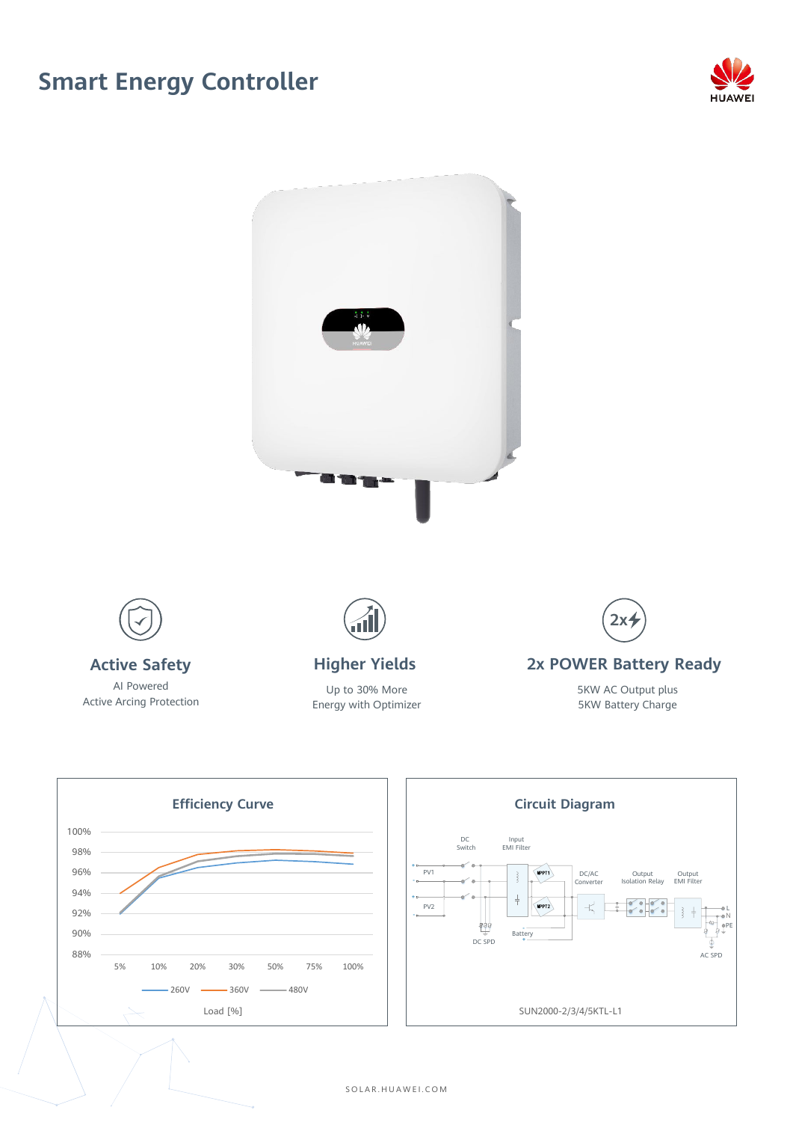## **Smart Energy Controller**









SOLAR . HUAWEI . COM